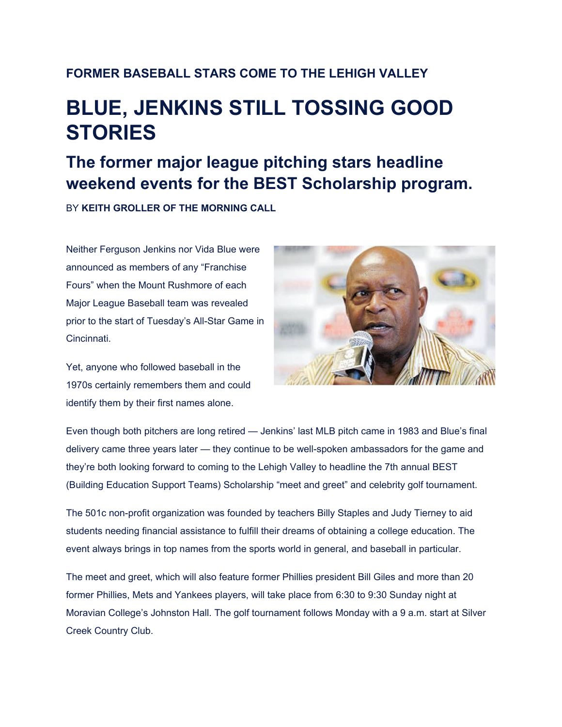## **FORMER BASEBALL STARS COME TO THE LEHIGH VALLEY**

## **BLUE, JENKINS STILL TOSSING GOOD STORIES**

## **The former major league pitching stars headline weekend events for the BEST Scholarship program.**

BY **KEITH GROLLER OF THE MORNING CALL**

Neither Ferguson Jenkins nor Vida Blue were announced as members of any "Franchise Fours" when the Mount Rushmore of each Major League Baseball team was revealed prior to the start of Tuesday's All-Star Game in Cincinnati.

Yet, anyone who followed baseball in the 1970s certainly remembers them and could identify them by their first names alone.



Even though both pitchers are long retired — Jenkins' last MLB pitch came in 1983 and Blue's final delivery came three years later — they continue to be well-spoken ambassadors for the game and they're both looking forward to coming to the Lehigh Valley to headline the 7th annual BEST (Building Education Support Teams) Scholarship "meet and greet" and celebrity golf tournament.

The 501c non-profit organization was founded by teachers Billy Staples and Judy Tierney to aid students needing financial assistance to fulfill their dreams of obtaining a college education. The event always brings in top names from the sports world in general, and baseball in particular.

The meet and greet, which will also feature former Phillies president Bill Giles and more than 20 former Phillies, Mets and Yankees players, will take place from 6:30 to 9:30 Sunday night at Moravian College's Johnston Hall. The golf tournament follows Monday with a 9 a.m. start at Silver Creek Country Club.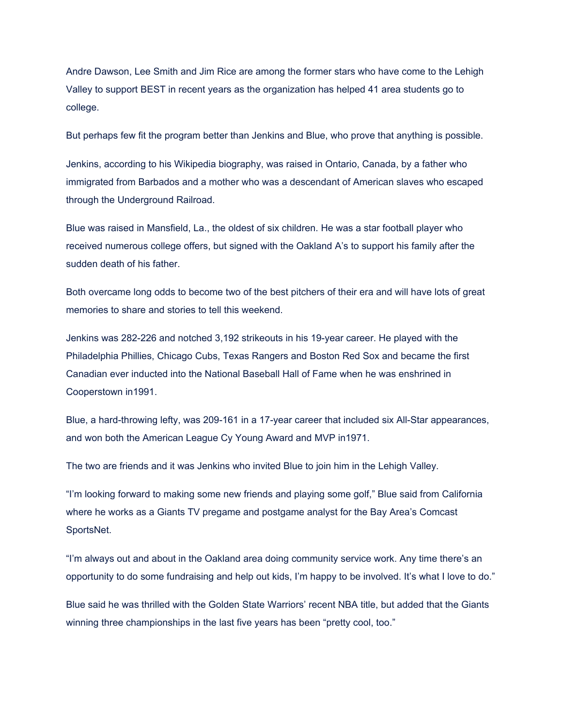Andre Dawson, Lee Smith and Jim Rice are among the former stars who have come to the Lehigh Valley to support BEST in recent years as the organization has helped 41 area students go to college.

But perhaps few fit the program better than Jenkins and Blue, who prove that anything is possible.

Jenkins, according to his Wikipedia biography, was raised in Ontario, Canada, by a father who immigrated from Barbados and a mother who was a descendant of American slaves who escaped through the Underground Railroad.

Blue was raised in Mansfield, La., the oldest of six children. He was a star football player who received numerous college offers, but signed with the Oakland A's to support his family after the sudden death of his father.

Both overcame long odds to become two of the best pitchers of their era and will have lots of great memories to share and stories to tell this weekend.

Jenkins was 282-226 and notched 3,192 strikeouts in his 19-year career. He played with the Philadelphia Phillies, Chicago Cubs, Texas Rangers and Boston Red Sox and became the first Canadian ever inducted into the National Baseball Hall of Fame when he was enshrined in Cooperstown in1991.

Blue, a hard-throwing lefty, was 209-161 in a 17-year career that included six All-Star appearances, and won both the American League Cy Young Award and MVP in1971.

The two are friends and it was Jenkins who invited Blue to join him in the Lehigh Valley.

"I'm looking forward to making some new friends and playing some golf," Blue said from California where he works as a Giants TV pregame and postgame analyst for the Bay Area's Comcast SportsNet.

"I'm always out and about in the Oakland area doing community service work. Any time there's an opportunity to do some fundraising and help out kids, I'm happy to be involved. It's what I love to do."

Blue said he was thrilled with the Golden State Warriors' recent NBA title, but added that the Giants winning three championships in the last five years has been "pretty cool, too."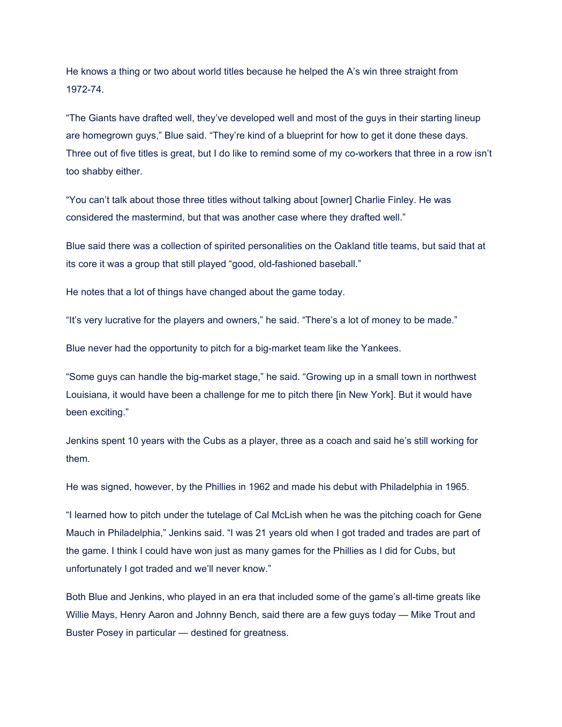He knows a thing or two about world titles because he helped the A's win three straight from 1972-74.

"The Giants have drafted well, they've developed well and most of the guys in their starting lineup are homegrown guys," Blue said. "They're kind of a blueprint for how to get it done these days. Three out of five titles is great, but I do like to remind some of my co-workers that three in a row isn't too shabby either.

"You can't talk about those three titles without talking about [owner] Charlie Finley. He was considered the mastermind, but that was another case where they drafted well."

Blue said there was a collection of spirited personalities on the Oakland title teams, but said that at its core it was a group that still played "good, old-fashioned baseball."

He notes that a lot of things have changed about the game today.

"It's very lucrative for the players and owners," he said. "There's a lot of money to be made."

Blue never had the opportunity to pitch for a big-market team like the Yankees.

"Some guys can handle the big-market stage," he said. "Growing up in a small town in northwest Louisiana, it would have been a challenge for me to pitch there [in New York]. But it would have been exciting."

Jenkins spent 10 years with the Cubs as a player, three as a coach and said he's still working for them.

He was signed, however, by the Phillies in 1962 and made his debut with Philadelphia in 1965.

"I learned how to pitch under the tutelage of Cal McLish when he was the pitching coach for Gene Mauch in Philadelphia," Jenkins said. "I was 21 years old when I got traded and trades are part of the game. I think I could have won just as many games for the Phillies as I did for Cubs, but unfortunately I got traded and we'll never know."

Both Blue and Jenkins, who played in an era that included some of the game's all-time greats like Willie Mays, Henry Aaron and Johnny Bench, said there are a few guys today — Mike Trout and Buster Posey in particular — destined for greatness.